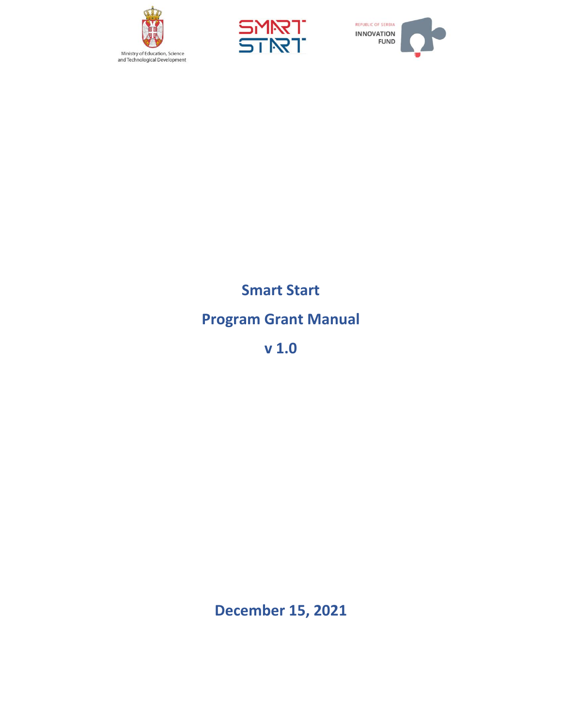





# **Smart Start Program Grant Manual**

**v 1.0**

**December 15, 2021**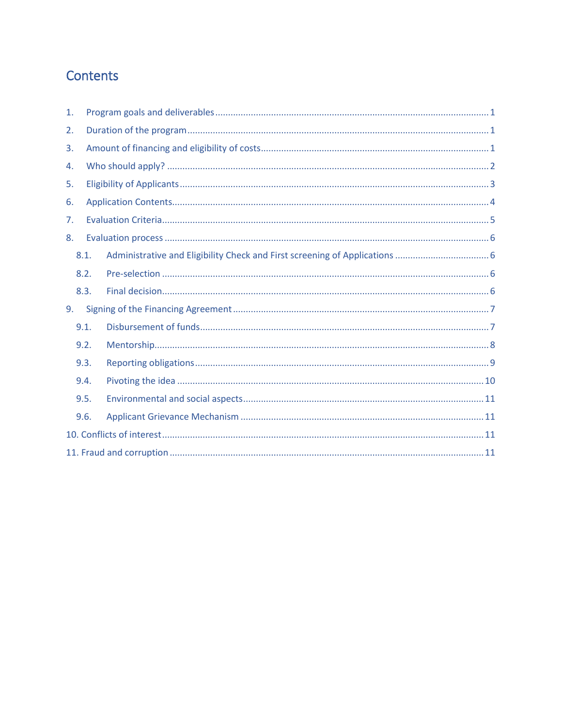# Contents

| 1. |      |  |  |  |
|----|------|--|--|--|
| 2. |      |  |  |  |
| 3. |      |  |  |  |
| 4. |      |  |  |  |
| 5. |      |  |  |  |
| 6. |      |  |  |  |
| 7. |      |  |  |  |
| 8. |      |  |  |  |
|    | 8.1. |  |  |  |
|    | 8.2. |  |  |  |
|    | 8.3. |  |  |  |
| 9. |      |  |  |  |
|    | 9.1. |  |  |  |
|    | 9.2. |  |  |  |
|    | 9.3. |  |  |  |
|    | 9.4. |  |  |  |
|    | 9.5. |  |  |  |
|    | 9.6. |  |  |  |
|    |      |  |  |  |
|    |      |  |  |  |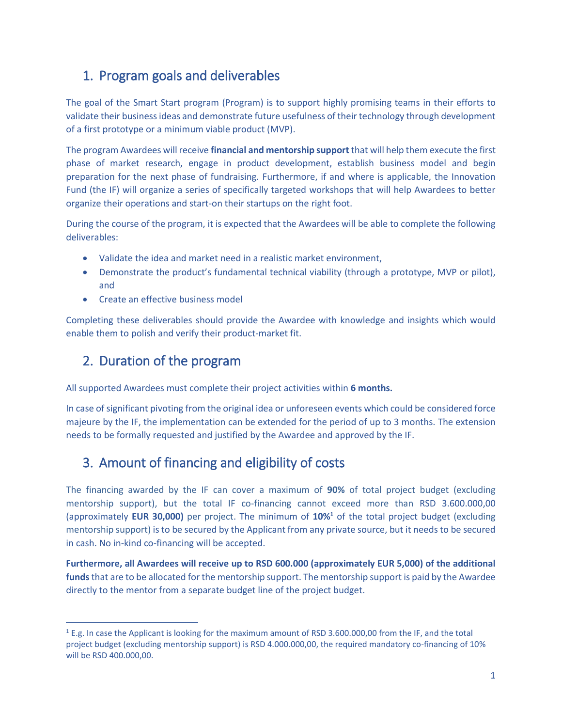### <span id="page-2-0"></span>1. Program goals and deliverables

The goal of the Smart Start program (Program) is to support highly promising teams in their efforts to validate their business ideas and demonstrate future usefulness of their technology through development of a first prototype or a minimum viable product (MVP).

The program Awardees will receive **financial and mentorship support** that will help them execute the first phase of market research, engage in product development, establish business model and begin preparation for the next phase of fundraising. Furthermore, if and where is applicable, the Innovation Fund (the IF) will organize a series of specifically targeted workshops that will help Awardees to better organize their operations and start-on their startups on the right foot.

During the course of the program, it is expected that the Awardees will be able to complete the following deliverables:

- Validate the idea and market need in a realistic market environment,
- Demonstrate the product's fundamental technical viability (through a prototype, MVP or pilot), and
- Create an effective business model

Completing these deliverables should provide the Awardee with knowledge and insights which would enable them to polish and verify their product-market fit.

### <span id="page-2-1"></span>2. Duration of the program

 $\overline{a}$ 

All supported Awardees must complete their project activities within **6 months.**

In case of significant pivoting from the original idea or unforeseen events which could be considered force majeure by the IF, the implementation can be extended for the period of up to 3 months. The extension needs to be formally requested and justified by the Awardee and approved by the IF.

### <span id="page-2-2"></span>3. Amount of financing and eligibility of costs

The financing awarded by the IF can cover a maximum of **90%** of total project budget (excluding mentorship support), but the total IF co-financing cannot exceed more than RSD 3.600.000,00 (approximately **EUR 30,000)** per project. The minimum of **10%<sup>1</sup>** of the total project budget (excluding mentorship support) is to be secured by the Applicant from any private source, but it needs to be secured in cash. No in-kind co-financing will be accepted.

**Furthermore, all Awardees will receive up to RSD 600.000 (approximately EUR 5,000) of the additional funds**that are to be allocated for the mentorship support. The mentorship support is paid by the Awardee directly to the mentor from a separate budget line of the project budget.

<sup>1</sup> E.g. In case the Applicant is looking for the maximum amount of RSD 3.600.000,00 from the IF, and the total project budget (excluding mentorship support) is RSD 4.000.000,00, the required mandatory co-financing of 10% will be RSD 400.000,00.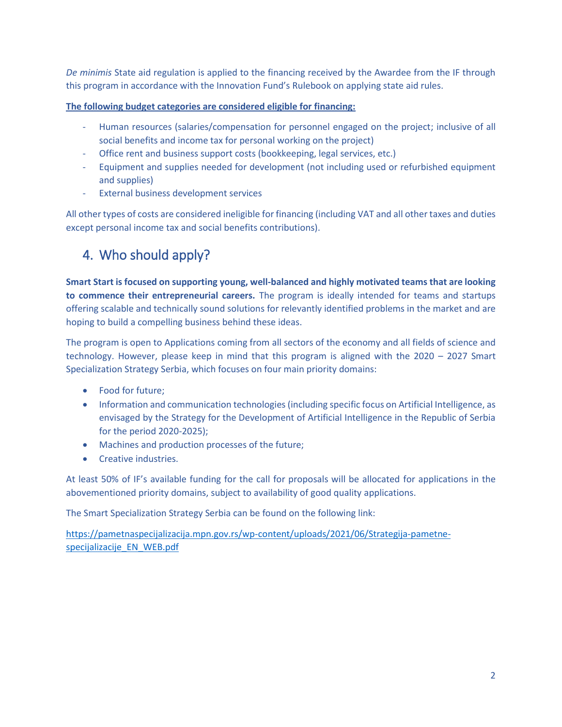*De minimis* State aid regulation is applied to the financing received by the Awardee from the IF through this program in accordance with the Innovation Fund's Rulebook on applying state aid rules.

**The following budget categories are considered eligible for financing:**

- Human resources (salaries/compensation for personnel engaged on the project; inclusive of all social benefits and income tax for personal working on the project)
- Office rent and business support costs (bookkeeping, legal services, etc.)
- Equipment and supplies needed for development (not including used or refurbished equipment and supplies)
- External business development services

All other types of costs are considered ineligible for financing (including VAT and all other taxes and duties except personal income tax and social benefits contributions).

## <span id="page-3-0"></span>4. Who should apply?

**Smart Start is focused on supporting young, well-balanced and highly motivated teams that are looking to commence their entrepreneurial careers.** The program is ideally intended for teams and startups offering scalable and technically sound solutions for relevantly identified problems in the market and are hoping to build a compelling business behind these ideas.

The program is open to Applications coming from all sectors of the economy and all fields of science and technology. However, please keep in mind that this program is aligned with the 2020 – 2027 Smart Specialization Strategy Serbia, which focuses on four main priority domains:

- Food for future;
- Information and communication technologies (including specific focus on Artificial Intelligence, as envisaged by the Strategy for the Development of Artificial Intelligence in the Republic of Serbia for the period 2020-2025);
- Machines and production processes of the future;
- Creative industries.

At least 50% of IF's available funding for the call for proposals will be allocated for applications in the abovementioned priority domains, subject to availability of good quality applications.

The Smart Specialization Strategy Serbia can be found on the following link:

[https://pametnaspecijalizacija.mpn.gov.rs/wp-content/uploads/2021/06/Strategija-pametne](https://pametnaspecijalizacija.mpn.gov.rs/wp-content/uploads/2021/06/Strategija-pametne-specijalizacije_EN_WEB.pdf)[specijalizacije\\_EN\\_WEB.pdf](https://pametnaspecijalizacija.mpn.gov.rs/wp-content/uploads/2021/06/Strategija-pametne-specijalizacije_EN_WEB.pdf)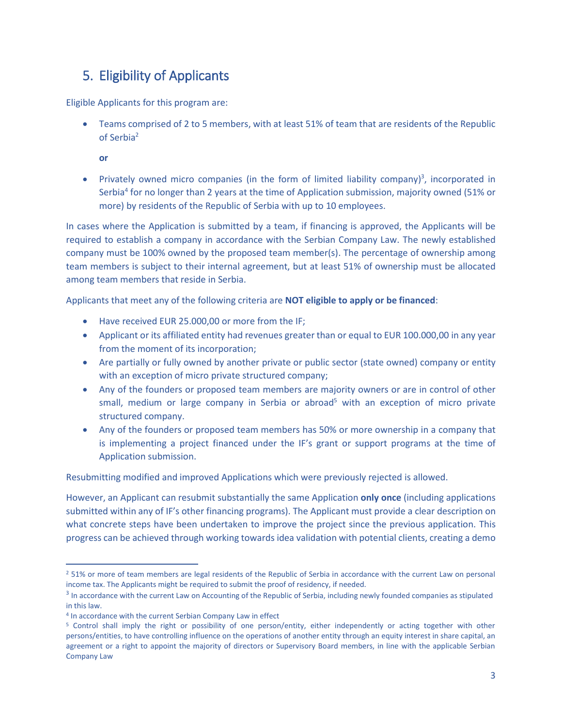### <span id="page-4-0"></span>5. Eligibility of Applicants

Eligible Applicants for this program are:

• Teams comprised of 2 to 5 members, with at least 51% of team that are residents of the Republic of Serbia<sup>2</sup>

**or**

• Privately owned micro companies (in the form of limited liability company)<sup>3</sup>, incorporated in Serbia<sup>4</sup> for no longer than 2 years at the time of Application submission, majority owned (51% or more) by residents of the Republic of Serbia with up to 10 employees.

In cases where the Application is submitted by a team, if financing is approved, the Applicants will be required to establish a company in accordance with the Serbian Company Law. The newly established company must be 100% owned by the proposed team member(s). The percentage of ownership among team members is subject to their internal agreement, but at least 51% of ownership must be allocated among team members that reside in Serbia.

Applicants that meet any of the following criteria are **NOT eligible to apply or be financed**:

- Have received EUR 25.000,00 or more from the IF;
- Applicant or its affiliated entity had revenues greater than or equal to EUR 100.000,00 in any year from the moment of its incorporation;
- Are partially or fully owned by another private or public sector (state owned) company or entity with an exception of micro private structured company;
- Any of the founders or proposed team members are majority owners or are in control of other small, medium or large company in Serbia or abroad<sup>5</sup> with an exception of micro private structured company.
- Any of the founders or proposed team members has 50% or more ownership in a company that is implementing a project financed under the IF's grant or support programs at the time of Application submission.

Resubmitting modified and improved Applications which were previously rejected is allowed.

However, an Applicant can resubmit substantially the same Application **only once** (including applications submitted within any of IF's other financing programs). The Applicant must provide a clear description on what concrete steps have been undertaken to improve the project since the previous application. This progress can be achieved through working towards idea validation with potential clients, creating a demo

 $\overline{a}$ 

<sup>&</sup>lt;sup>2</sup> 51% or more of team members are legal residents of the Republic of Serbia in accordance with the current Law on personal income tax. The Applicants might be required to submit the proof of residency, if needed.

<sup>&</sup>lt;sup>3</sup> In accordance with the current Law on Accounting of the Republic of Serbia, including newly founded companies as stipulated in this law.

<sup>&</sup>lt;sup>4</sup> In accordance with the current Serbian Company Law in effect

<sup>5</sup> Control shall imply the right or possibility of one person/entity, either independently or acting together with other persons/entities, to have controlling influence on the operations of another entity through an equity interest in share capital, an agreement or a right to appoint the majority of directors or Supervisory Board members, in line with the applicable Serbian Company Law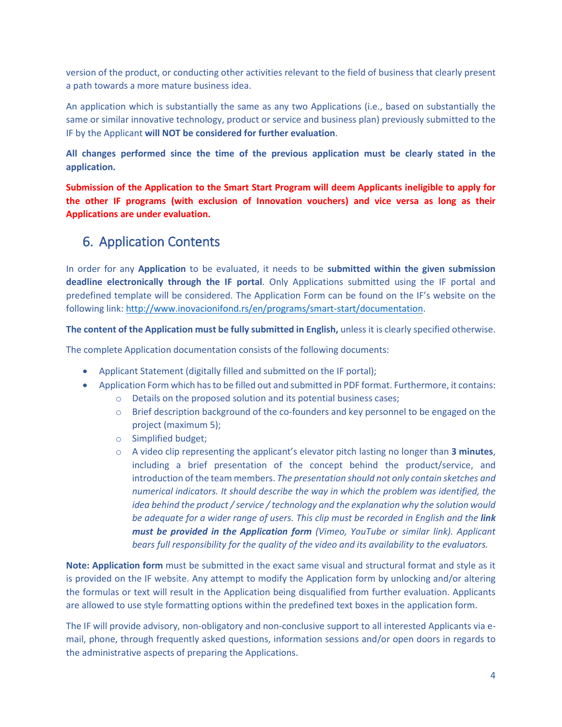version of the product, or conducting other activities relevant to the field of business that clearly present a path towards a more mature business idea.

An application which is substantially the same as any two Applications (i.e., based on substantially the same or similar innovative technology, product or service and business plan) previously submitted to the IF by the Applicant **will NOT be considered for further evaluation**.

**All changes performed since the time of the previous application must be clearly stated in the application.**

**Submission of the Application to the Smart Start Program will deem Applicants ineligible to apply for the other IF programs (with exclusion of Innovation vouchers) and vice versa as long as their Applications are under evaluation.** 

### <span id="page-5-0"></span>6. Application Contents

In order for any **Application** to be evaluated, it needs to be **submitted within the given submission deadline electronically through the IF portal**. Only Applications submitted using the IF portal and predefined template will be considered. The Application Form can be found on the IF's website on the following link: [http://www.inovacionifond.rs/en/programs/smart-start/documentation.](http://www.inovacionifond.rs/en/programs/smart-start/documentation)

**The content of the Application must be fully submitted in English,** unless it is clearly specified otherwise.

The complete Application documentation consists of the following documents:

- Applicant Statement (digitally filled and submitted on the IF portal);
- Application Form which has to be filled out and submitted in PDF format. Furthermore, it contains:
	- o Details on the proposed solution and its potential business cases;
	- $\circ$  Brief description background of the co-founders and key personnel to be engaged on the project (maximum 5);
	- o Simplified budget;
	- o A video clip representing the applicant's elevator pitch lasting no longer than **3 minutes**, including a brief presentation of the concept behind the product/service, and introduction of the team members. *The presentation should not only contain sketches and numerical indicators. It should describe the way in which the problem was identified, the idea behind the product / service / technology and the explanation why the solution would be adequate for a wider range of users. This clip must be recorded in English and the link must be provided in the Application form (Vimeo, YouTube or similar link). Applicant bears full responsibility for the quality of the video and its availability to the evaluators.*

**Note: Application form** must be submitted in the exact same visual and structural format and style as it is provided on the IF website. Any attempt to modify the Application form by unlocking and/or altering the formulas or text will result in the Application being disqualified from further evaluation. Applicants are allowed to use style formatting options within the predefined text boxes in the application form.

The IF will provide advisory, non-obligatory and non-conclusive support to all interested Applicants via email, phone, through frequently asked questions, information sessions and/or open doors in regards to the administrative aspects of preparing the Applications.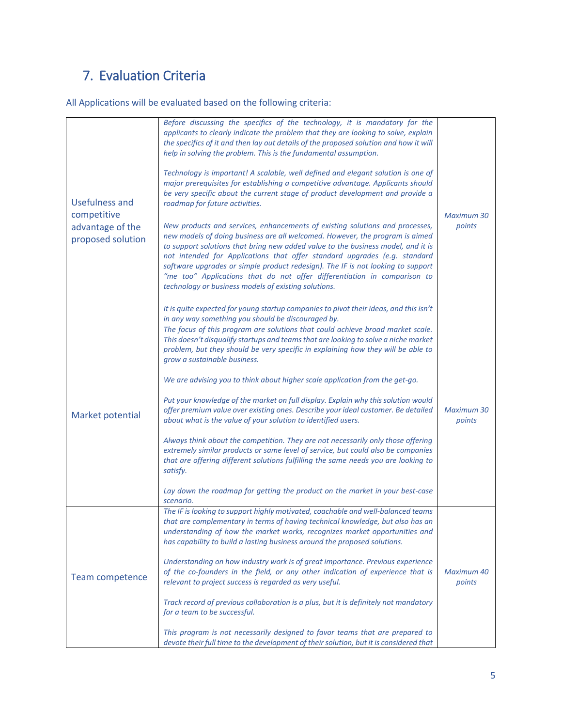# <span id="page-6-0"></span>7. Evaluation Criteria

All Applications will be evaluated based on the following criteria:

| Usefulness and                                       | Before discussing the specifics of the technology, it is mandatory for the<br>applicants to clearly indicate the problem that they are looking to solve, explain<br>the specifics of it and then lay out details of the proposed solution and how it will<br>help in solving the problem. This is the fundamental assumption.<br>Technology is important! A scalable, well defined and elegant solution is one of<br>major prerequisites for establishing a competitive advantage. Applicants should<br>be very specific about the current stage of product development and provide a<br>roadmap for future activities.                                                                                                                                                                                                                                                                                                                                                                     |                             |
|------------------------------------------------------|---------------------------------------------------------------------------------------------------------------------------------------------------------------------------------------------------------------------------------------------------------------------------------------------------------------------------------------------------------------------------------------------------------------------------------------------------------------------------------------------------------------------------------------------------------------------------------------------------------------------------------------------------------------------------------------------------------------------------------------------------------------------------------------------------------------------------------------------------------------------------------------------------------------------------------------------------------------------------------------------|-----------------------------|
| competitive<br>advantage of the<br>proposed solution | New products and services, enhancements of existing solutions and processes,<br>new models of doing business are all welcomed. However, the program is aimed<br>to support solutions that bring new added value to the business model, and it is<br>not intended for Applications that offer standard upgrades (e.g. standard<br>software upgrades or simple product redesign). The IF is not looking to support<br>"me too" Applications that do not offer differentiation in comparison to<br>technology or business models of existing solutions.                                                                                                                                                                                                                                                                                                                                                                                                                                        | <b>Maximum 30</b><br>points |
|                                                      | It is quite expected for young startup companies to pivot their ideas, and this isn't<br>in any way something you should be discouraged by.                                                                                                                                                                                                                                                                                                                                                                                                                                                                                                                                                                                                                                                                                                                                                                                                                                                 |                             |
| Market potential                                     | The focus of this program are solutions that could achieve broad market scale.<br>This doesn't disqualify startups and teams that are looking to solve a niche market<br>problem, but they should be very specific in explaining how they will be able to<br>grow a sustainable business.<br>We are advising you to think about higher scale application from the get-go.<br>Put your knowledge of the market on full display. Explain why this solution would<br>offer premium value over existing ones. Describe your ideal customer. Be detailed<br>about what is the value of your solution to identified users.<br>Always think about the competition. They are not necessarily only those offering<br>extremely similar products or same level of service, but could also be companies<br>that are offering different solutions fulfilling the same needs you are looking to<br>satisfy.<br>Lay down the roadmap for getting the product on the market in your best-case<br>scenario. | <b>Maximum 30</b><br>points |
| <b>Team competence</b>                               | The IF is looking to support highly motivated, coachable and well-balanced teams<br>that are complementary in terms of having technical knowledge, but also has an<br>understanding of how the market works, recognizes market opportunities and<br>has capability to build a lasting business around the proposed solutions.<br>Understanding on how industry work is of great importance. Previous experience<br>of the co-founders in the field, or any other indication of experience that is<br>relevant to project success is regarded as very useful.<br>Track record of previous collaboration is a plus, but it is definitely not mandatory<br>for a team to be successful.<br>This program is not necessarily designed to favor teams that are prepared to<br>devote their full time to the development of their solution, but it is considered that                                                                                                                              | Maximum 40<br>points        |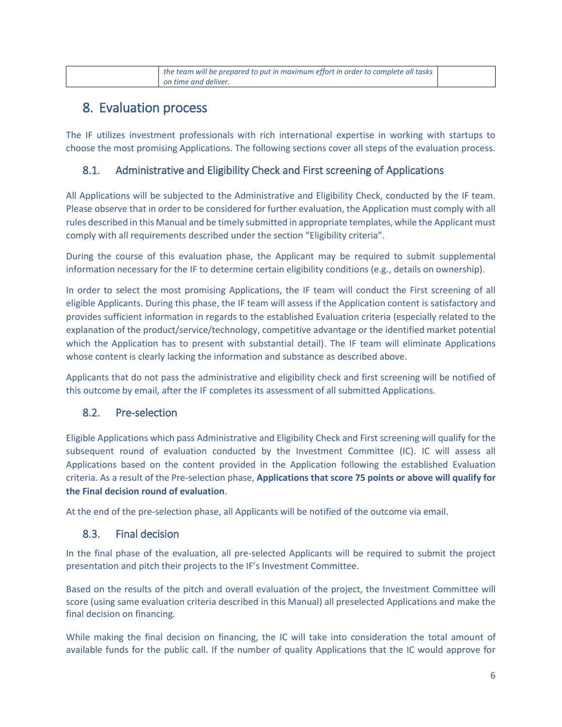<span id="page-7-0"></span>

| the team will be prepared to put in maximum effort in order to complete all tasks |  |
|-----------------------------------------------------------------------------------|--|
| on time and deliver.                                                              |  |

### 8. Evaluation process

The IF utilizes investment professionals with rich international expertise in working with startups to choose the most promising Applications. The following sections cover all steps of the evaluation process.

#### <span id="page-7-1"></span>8.1. Administrative and Eligibility Check and First screening of Applications

All Applications will be subjected to the Administrative and Eligibility Check, conducted by the IF team. Please observe that in order to be considered for further evaluation, the Application must comply with all rules described in this Manual and be timely submitted in appropriate templates, while the Applicant must comply with all requirements described under the section "Eligibility criteria".

During the course of this evaluation phase, the Applicant may be required to submit supplemental information necessary for the IF to determine certain eligibility conditions (e.g., details on ownership).

In order to select the most promising Applications, the IF team will conduct the First screening of all eligible Applicants. During this phase, the IF team will assess if the Application content is satisfactory and provides sufficient information in regards to the established Evaluation criteria (especially related to the explanation of the product/service/technology, competitive advantage or the identified market potential which the Application has to present with substantial detail). The IF team will eliminate Applications whose content is clearly lacking the information and substance as described above.

Applicants that do not pass the administrative and eligibility check and first screening will be notified of this outcome by email, after the IF completes its assessment of all submitted Applications.

#### <span id="page-7-2"></span>8.2. Pre-selection

Eligible Applications which pass Administrative and Eligibility Check and First screening will qualify for the subsequent round of evaluation conducted by the Investment Committee (IC). IC will assess all Applications based on the content provided in the Application following the established Evaluation criteria. As a result of the Pre-selection phase, **Applications that score 75 points or above will qualify for the Final decision round of evaluation**.

At the end of the pre-selection phase, all Applicants will be notified of the outcome via email.

#### <span id="page-7-3"></span>8.3. Final decision

In the final phase of the evaluation, all pre-selected Applicants will be required to submit the project presentation and pitch their projects to the IF's Investment Committee.

Based on the results of the pitch and overall evaluation of the project, the Investment Committee will score (using same evaluation criteria described in this Manual) all preselected Applications and make the final decision on financing.

While making the final decision on financing, the IC will take into consideration the total amount of available funds for the public call. If the number of quality Applications that the IC would approve for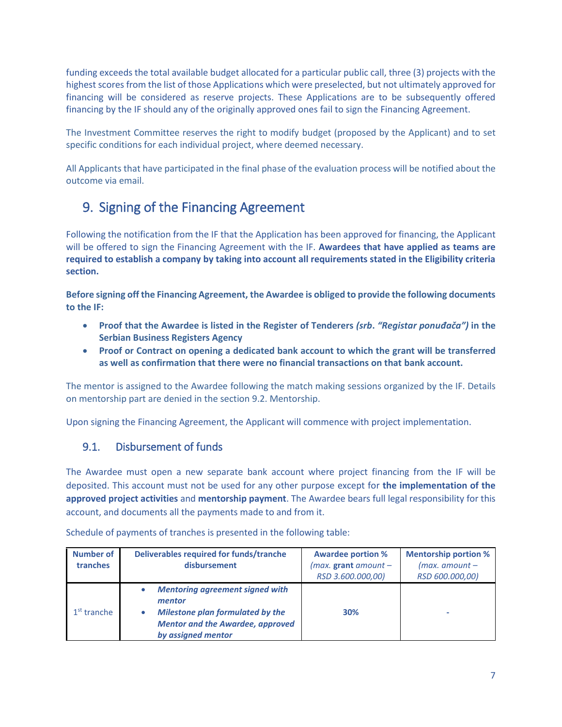funding exceeds the total available budget allocated for a particular public call, three (3) projects with the highest scores from the list of those Applications which were preselected, but not ultimately approved for financing will be considered as reserve projects. These Applications are to be subsequently offered financing by the IF should any of the originally approved ones fail to sign the Financing Agreement.

The Investment Committee reserves the right to modify budget (proposed by the Applicant) and to set specific conditions for each individual project, where deemed necessary.

All Applicants that have participated in the final phase of the evaluation process will be notified about the outcome via email.

# <span id="page-8-0"></span>9. Signing of the Financing Agreement

Following the notification from the IF that the Application has been approved for financing, the Applicant will be offered to sign the Financing Agreement with the IF. **Awardees that have applied as teams are required to establish a company by taking into account all requirements stated in the Eligibility criteria section.**

**Before signing off the Financing Agreement, the Awardee is obliged to provide the following documents to the IF:** 

- **Proof that the Awardee is listed in the Register of Tenderers** *(srb***.** *"Registar ponuđača")* **in the Serbian Business Registers Agency**
- **Proof or Contract on opening a dedicated bank account to which the grant will be transferred as well as confirmation that there were no financial transactions on that bank account.**

The mentor is assigned to the Awardee following the match making sessions organized by the IF. Details on mentorship part are denied in the section 9.2. Mentorship.

Upon signing the Financing Agreement, the Applicant will commence with project implementation.

#### <span id="page-8-1"></span>9.1. Disbursement of funds

The Awardee must open a new separate bank account where project financing from the IF will be deposited. This account must not be used for any other purpose except for **the implementation of the approved project activities** and **mentorship payment**. The Awardee bears full legal responsibility for this account, and documents all the payments made to and from it.

| Number of<br>tranches | Deliverables required for funds/tranche<br>disbursement                                                                                                      | <b>Awardee portion %</b><br>$(max.$ grant amount $-$<br>RSD 3.600.000,00) | <b>Mentorship portion %</b><br>$(max.$ amount $-$<br>RSD 600.000,00) |
|-----------------------|--------------------------------------------------------------------------------------------------------------------------------------------------------------|---------------------------------------------------------------------------|----------------------------------------------------------------------|
| $1st$ tranche         | <b>Mentoring agreement signed with</b><br>mentor<br><b>Milestone plan formulated by the</b><br><b>Mentor and the Awardee, approved</b><br>by assigned mentor | 30%                                                                       | ۰                                                                    |

Schedule of payments of tranches is presented in the following table: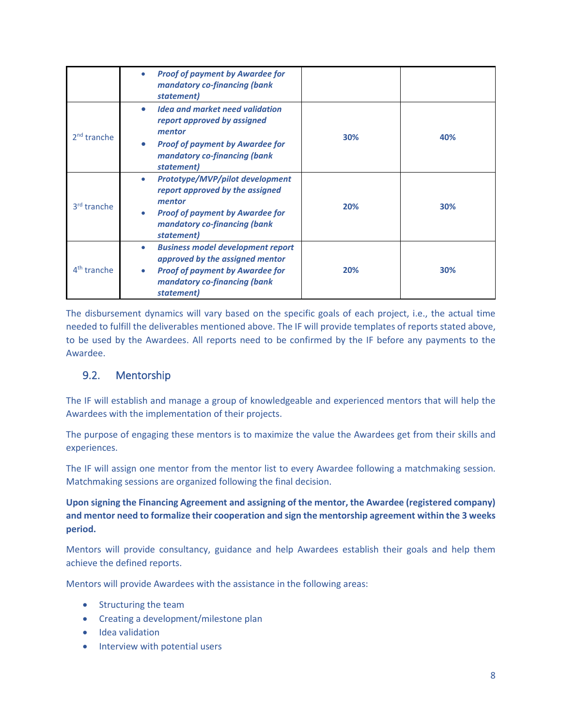|                         | <b>Proof of payment by Awardee for</b><br>$\bullet$<br>mandatory co-financing (bank<br>statement)                                                                                     |     |     |
|-------------------------|---------------------------------------------------------------------------------------------------------------------------------------------------------------------------------------|-----|-----|
| $2nd$ tranche           | <b>Idea and market need validation</b><br>$\bullet$<br>report approved by assigned<br>mentor<br><b>Proof of payment by Awardee for</b><br>mandatory co-financing (bank<br>statement)  | 30% | 40% |
| 3 <sup>rd</sup> tranche | Prototype/MVP/pilot development<br>۰<br>report approved by the assigned<br>mentor<br><b>Proof of payment by Awardee for</b><br>mandatory co-financing (bank<br>statement)             | 20% | 30% |
| $4th$ tranche           | <b>Business model development report</b><br>۰<br>approved by the assigned mentor<br><b>Proof of payment by Awardee for</b><br>$\bullet$<br>mandatory co-financing (bank<br>statement) | 20% | 30% |

The disbursement dynamics will vary based on the specific goals of each project, i.e., the actual time needed to fulfill the deliverables mentioned above. The IF will provide templates of reports stated above, to be used by the Awardees. All reports need to be confirmed by the IF before any payments to the Awardee.

#### <span id="page-9-0"></span>9.2. Mentorship

The IF will establish and manage a group of knowledgeable and experienced mentors that will help the Awardees with the implementation of their projects.

The purpose of engaging these mentors is to maximize the value the Awardees get from their skills and experiences.

The IF will assign one mentor from the mentor list to every Awardee following a matchmaking session. Matchmaking sessions are organized following the final decision.

**Upon signing the Financing Agreement and assigning of the mentor, the Awardee (registered company) and mentor need to formalize their cooperation and sign the mentorship agreement within the 3 weeks period.**

Mentors will provide consultancy, guidance and help Awardees establish their goals and help them achieve the defined reports.

Mentors will provide Awardees with the assistance in the following areas:

- Structuring the team
- Creating a development/milestone plan
- Idea validation
- Interview with potential users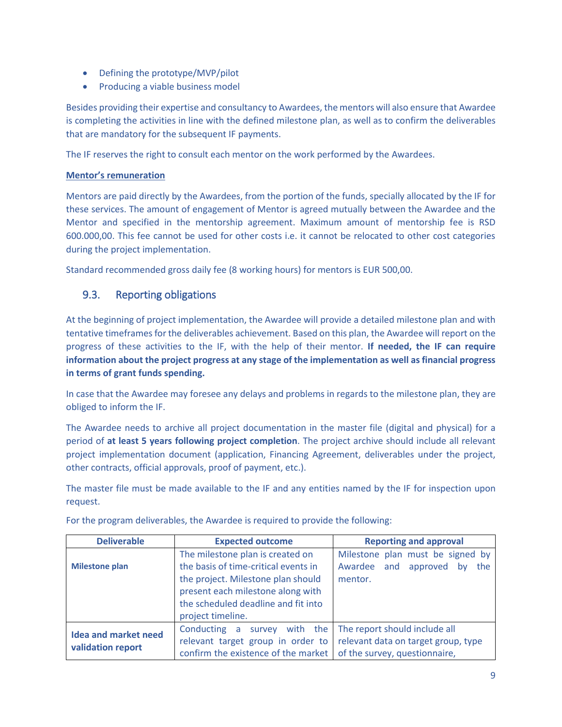- Defining the prototype/MVP/pilot
- Producing a viable business model

Besides providing their expertise and consultancy to Awardees, the mentors will also ensure that Awardee is completing the activities in line with the defined milestone plan, as well as to confirm the deliverables that are mandatory for the subsequent IF payments.

The IF reserves the right to consult each mentor on the work performed by the Awardees.

#### **Mentor's remuneration**

Mentors are paid directly by the Awardees, from the portion of the funds, specially allocated by the IF for these services. The amount of engagement of Mentor is agreed mutually between the Awardee and the Mentor and specified in the mentorship agreement. Maximum amount of mentorship fee is RSD 600.000,00. This fee cannot be used for other costs i.e. it cannot be relocated to other cost categories during the project implementation.

Standard recommended gross daily fee (8 working hours) for mentors is EUR 500,00.

#### <span id="page-10-0"></span>9.3. Reporting obligations

At the beginning of project implementation, the Awardee will provide a detailed milestone plan and with tentative timeframes for the deliverables achievement. Based on this plan, the Awardee will report on the progress of these activities to the IF, with the help of their mentor. **If needed, the IF can require information about the project progress at any stage of the implementation as well as financial progress in terms of grant funds spending.**

In case that the Awardee may foresee any delays and problems in regards to the milestone plan, they are obliged to inform the IF.

The Awardee needs to archive all project documentation in the master file (digital and physical) for a period of **at least 5 years following project completion**. The project archive should include all relevant project implementation document (application, Financing Agreement, deliverables under the project, other contracts, official approvals, proof of payment, etc.).

The master file must be made available to the IF and any entities named by the IF for inspection upon request.

| <b>Deliverable</b>          | <b>Expected outcome</b>              | <b>Reporting and approval</b>       |
|-----------------------------|--------------------------------------|-------------------------------------|
|                             | The milestone plan is created on     | Milestone plan must be signed by    |
| <b>Milestone plan</b>       | the basis of time-critical events in | Awardee and approved<br>the<br>bv   |
|                             | the project. Milestone plan should   | mentor.                             |
|                             | present each milestone along with    |                                     |
|                             | the scheduled deadline and fit into  |                                     |
|                             | project timeline.                    |                                     |
| <b>Idea and market need</b> | Conducting a<br>survey with the      | The report should include all       |
| validation report           | relevant target group in order to    | relevant data on target group, type |
|                             | confirm the existence of the market  | of the survey, questionnaire,       |

For the program deliverables, the Awardee is required to provide the following: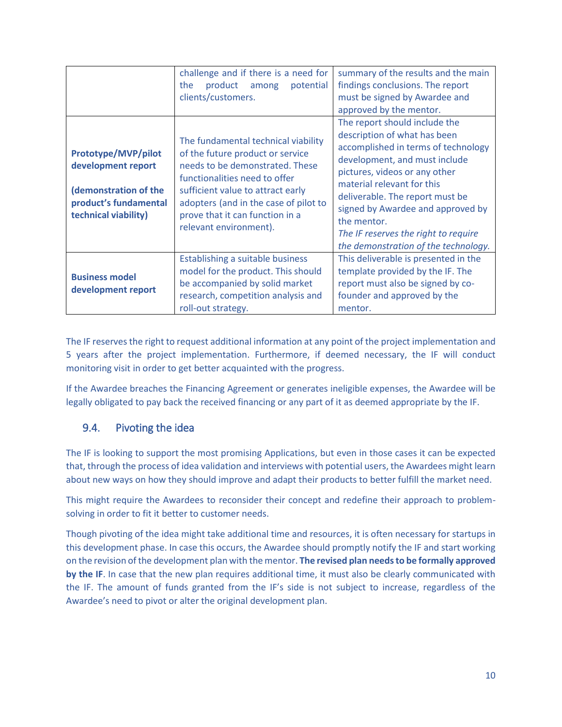|                                                                                                                     | challenge and if there is a need for<br>the<br>product<br>among<br>potential<br>clients/customers.                                                                                                                                                                                     | summary of the results and the main<br>findings conclusions. The report<br>must be signed by Awardee and<br>approved by the mentor.                                                                                                                                                                                                                                         |
|---------------------------------------------------------------------------------------------------------------------|----------------------------------------------------------------------------------------------------------------------------------------------------------------------------------------------------------------------------------------------------------------------------------------|-----------------------------------------------------------------------------------------------------------------------------------------------------------------------------------------------------------------------------------------------------------------------------------------------------------------------------------------------------------------------------|
| Prototype/MVP/pilot<br>development report<br>(demonstration of the<br>product's fundamental<br>technical viability) | The fundamental technical viability<br>of the future product or service<br>needs to be demonstrated. These<br>functionalities need to offer<br>sufficient value to attract early<br>adopters (and in the case of pilot to<br>prove that it can function in a<br>relevant environment). | The report should include the<br>description of what has been<br>accomplished in terms of technology<br>development, and must include<br>pictures, videos or any other<br>material relevant for this<br>deliverable. The report must be<br>signed by Awardee and approved by<br>the mentor.<br>The IF reserves the right to require<br>the demonstration of the technology. |
| <b>Business model</b><br>development report                                                                         | Establishing a suitable business<br>model for the product. This should<br>be accompanied by solid market<br>research, competition analysis and<br>roll-out strategy.                                                                                                                   | This deliverable is presented in the<br>template provided by the IF. The<br>report must also be signed by co-<br>founder and approved by the<br>mentor.                                                                                                                                                                                                                     |

The IF reserves the right to request additional information at any point of the project implementation and 5 years after the project implementation. Furthermore, if deemed necessary, the IF will conduct monitoring visit in order to get better acquainted with the progress.

If the Awardee breaches the Financing Agreement or generates ineligible expenses, the Awardee will be legally obligated to pay back the received financing or any part of it as deemed appropriate by the IF.

#### <span id="page-11-0"></span>9.4. Pivoting the idea

The IF is looking to support the most promising Applications, but even in those cases it can be expected that, through the process of idea validation and interviews with potential users, the Awardees might learn about new ways on how they should improve and adapt their products to better fulfill the market need.

This might require the Awardees to reconsider their concept and redefine their approach to problemsolving in order to fit it better to customer needs.

Though pivoting of the idea might take additional time and resources, it is often necessary for startups in this development phase. In case this occurs, the Awardee should promptly notify the IF and start working on the revision of the development plan with the mentor. **The revised plan needs to be formally approved by the IF**. In case that the new plan requires additional time, it must also be clearly communicated with the IF. The amount of funds granted from the IF's side is not subject to increase, regardless of the Awardee's need to pivot or alter the original development plan.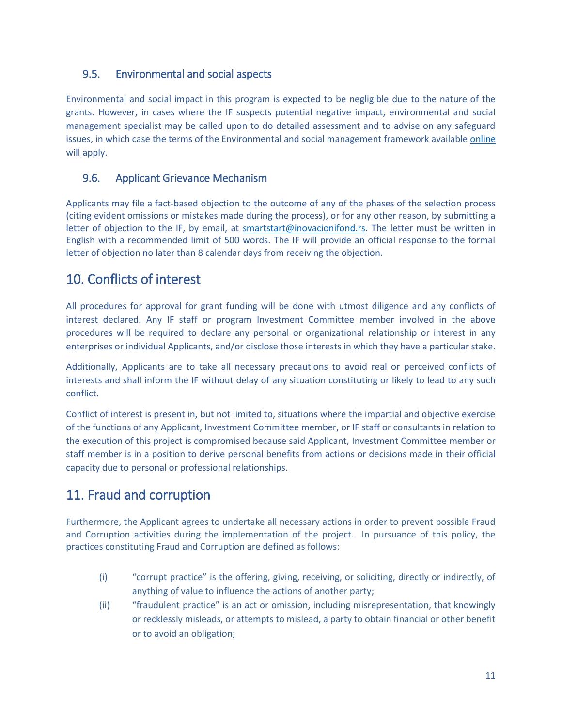#### <span id="page-12-0"></span>9.5. Environmental and social aspects

Environmental and social impact in this program is expected to be negligible due to the nature of the grants. However, in cases where the IF suspects potential negative impact, environmental and social management specialist may be called upon to do detailed assessment and to advise on any safeguard issues, in which case the terms of the Environmental and social management framework available [online](http://www.inovacionifond.rs/en/programs/smart-start/documentation) will apply.

#### <span id="page-12-1"></span>9.6. Applicant Grievance Mechanism

Applicants may file a fact-based objection to the outcome of any of the phases of the selection process (citing evident omissions or mistakes made during the process), or for any other reason, by submitting a letter of objection to the IF, by email, at [smartstart@inovacionifond.rs.](mailto:smartstart@inovacionifond.rs) The letter must be written in English with a recommended limit of 500 words. The IF will provide an official response to the formal letter of objection no later than 8 calendar days from receiving the objection.

### <span id="page-12-2"></span>10. Conflicts of interest

All procedures for approval for grant funding will be done with utmost diligence and any conflicts of interest declared. Any IF staff or program Investment Committee member involved in the above procedures will be required to declare any personal or organizational relationship or interest in any enterprises or individual Applicants, and/or disclose those interests in which they have a particular stake.

Additionally, Applicants are to take all necessary precautions to avoid real or perceived conflicts of interests and shall inform the IF without delay of any situation constituting or likely to lead to any such conflict.

Conflict of interest is present in, but not limited to, situations where the impartial and objective exercise of the functions of any Applicant, Investment Committee member, or IF staff or consultants in relation to the execution of this project is compromised because said Applicant, Investment Committee member or staff member is in a position to derive personal benefits from actions or decisions made in their official capacity due to personal or professional relationships.

## <span id="page-12-3"></span>11. Fraud and corruption

Furthermore, the Applicant agrees to undertake all necessary actions in order to prevent possible Fraud and Corruption activities during the implementation of the project. In pursuance of this policy, the practices constituting Fraud and Corruption are defined as follows:

- (i) "corrupt practice" is the offering, giving, receiving, or soliciting, directly or indirectly, of anything of value to influence the actions of another party;
- (ii) "fraudulent practice" is an act or omission, including misrepresentation, that knowingly or recklessly misleads, or attempts to mislead, a party to obtain financial or other benefit or to avoid an obligation;